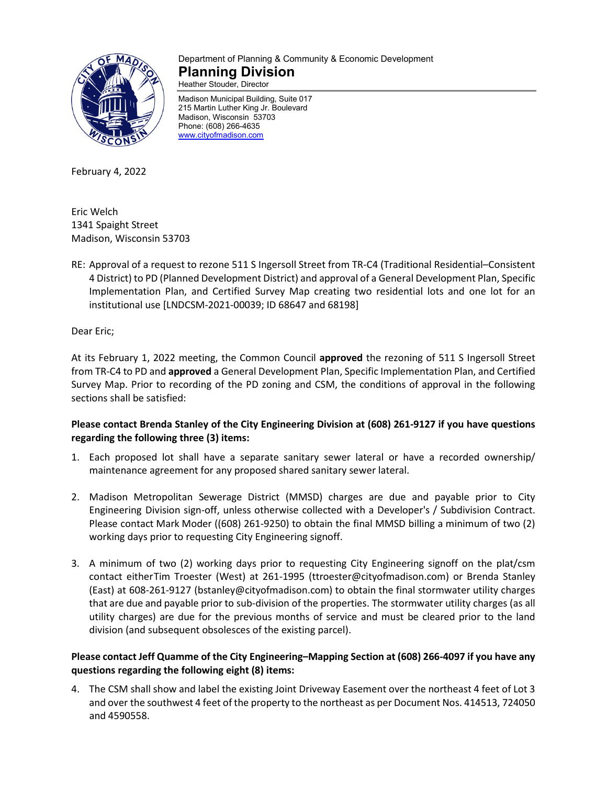

# Department of Planning & Community & Economic Development **Planning Division**

Heather Stouder, Director

Madison Municipal Building, Suite 017 215 Martin Luther King Jr. Boulevard Madison, Wisconsin 53703 Phone: (608) 266-4635 [www.cityofmadison.com](http://www.cityofmadison.com/)

February 4, 2022

Eric Welch 1341 Spaight Street Madison, Wisconsin 53703

RE: Approval of a request to rezone 511 S Ingersoll Street from TR-C4 (Traditional Residential–Consistent 4 District) to PD (Planned Development District) and approval of a General Development Plan, Specific Implementation Plan, and Certified Survey Map creating two residential lots and one lot for an institutional use [LNDCSM-2021-00039; ID 68647 and 68198]

Dear Eric;

At its February 1, 2022 meeting, the Common Council **approved** the rezoning of 511 S Ingersoll Street from TR-C4 to PD and **approved** a General Development Plan, Specific Implementation Plan, and Certified Survey Map. Prior to recording of the PD zoning and CSM, the conditions of approval in the following sections shall be satisfied:

## **Please contact Brenda Stanley of the City Engineering Division at (608) 261-9127 if you have questions regarding the following three (3) items:**

- 1. Each proposed lot shall have a separate sanitary sewer lateral or have a recorded ownership/ maintenance agreement for any proposed shared sanitary sewer lateral.
- 2. Madison Metropolitan Sewerage District (MMSD) charges are due and payable prior to City Engineering Division sign-off, unless otherwise collected with a Developer's / Subdivision Contract. Please contact Mark Moder ((608) 261-9250) to obtain the final MMSD billing a minimum of two (2) working days prior to requesting City Engineering signoff.
- 3. A minimum of two (2) working days prior to requesting City Engineering signoff on the plat/csm contact eitherTim Troester (West) at 261-1995 (ttroester@cityofmadison.com) or Brenda Stanley (East) at 608-261-9127 (bstanley@cityofmadison.com) to obtain the final stormwater utility charges that are due and payable prior to sub-division of the properties. The stormwater utility charges (as all utility charges) are due for the previous months of service and must be cleared prior to the land division (and subsequent obsolesces of the existing parcel).

## **Please contact Jeff Quamme of the City Engineering–Mapping Section at (608) 266-4097 if you have any questions regarding the following eight (8) items:**

4. The CSM shall show and label the existing Joint Driveway Easement over the northeast 4 feet of Lot 3 and over the southwest 4 feet of the property to the northeast as per Document Nos. 414513, 724050 and 4590558.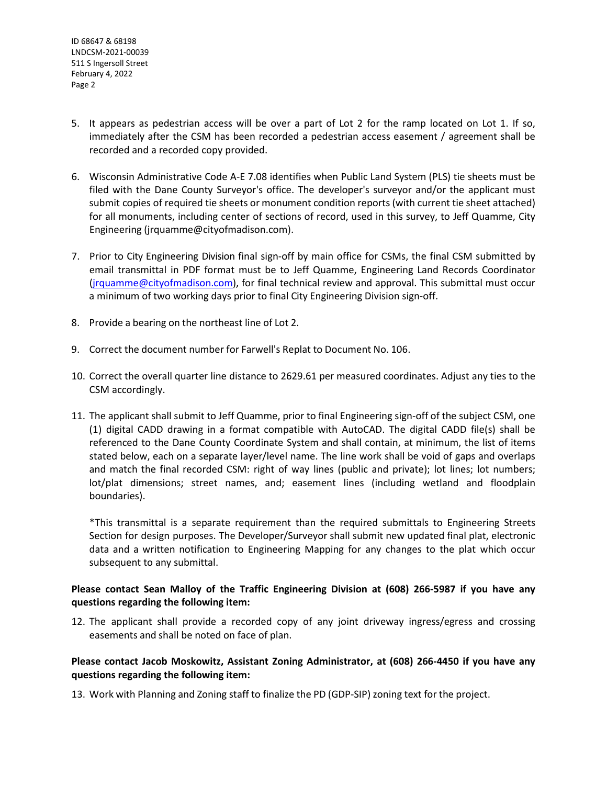- 5. It appears as pedestrian access will be over a part of Lot 2 for the ramp located on Lot 1. If so, immediately after the CSM has been recorded a pedestrian access easement / agreement shall be recorded and a recorded copy provided.
- 6. Wisconsin Administrative Code A-E 7.08 identifies when Public Land System (PLS) tie sheets must be filed with the Dane County Surveyor's office. The developer's surveyor and/or the applicant must submit copies of required tie sheets or monument condition reports (with current tie sheet attached) for all monuments, including center of sections of record, used in this survey, to Jeff Quamme, City Engineering (jrquamme@cityofmadison.com).
- 7. Prior to City Engineering Division final sign-off by main office for CSMs, the final CSM submitted by email transmittal in PDF format must be to Jeff Quamme, Engineering Land Records Coordinator [\(jrquamme@cityofmadison.com\)](mailto:jrquamme@cityofmadison.com), for final technical review and approval. This submittal must occur a minimum of two working days prior to final City Engineering Division sign-off.
- 8. Provide a bearing on the northeast line of Lot 2.
- 9. Correct the document number for Farwell's Replat to Document No. 106.
- 10. Correct the overall quarter line distance to 2629.61 per measured coordinates. Adjust any ties to the CSM accordingly.
- 11. The applicant shall submit to Jeff Quamme, prior to final Engineering sign-off of the subject CSM, one (1) digital CADD drawing in a format compatible with AutoCAD. The digital CADD file(s) shall be referenced to the Dane County Coordinate System and shall contain, at minimum, the list of items stated below, each on a separate layer/level name. The line work shall be void of gaps and overlaps and match the final recorded CSM: right of way lines (public and private); lot lines; lot numbers; lot/plat dimensions; street names, and; easement lines (including wetland and floodplain boundaries).

\*This transmittal is a separate requirement than the required submittals to Engineering Streets Section for design purposes. The Developer/Surveyor shall submit new updated final plat, electronic data and a written notification to Engineering Mapping for any changes to the plat which occur subsequent to any submittal.

### **Please contact Sean Malloy of the Traffic Engineering Division at (608) 266-5987 if you have any questions regarding the following item:**

12. The applicant shall provide a recorded copy of any joint driveway ingress/egress and crossing easements and shall be noted on face of plan.

### **Please contact Jacob Moskowitz, Assistant Zoning Administrator, at (608) 266-4450 if you have any questions regarding the following item:**

13. Work with Planning and Zoning staff to finalize the PD (GDP-SIP) zoning text for the project.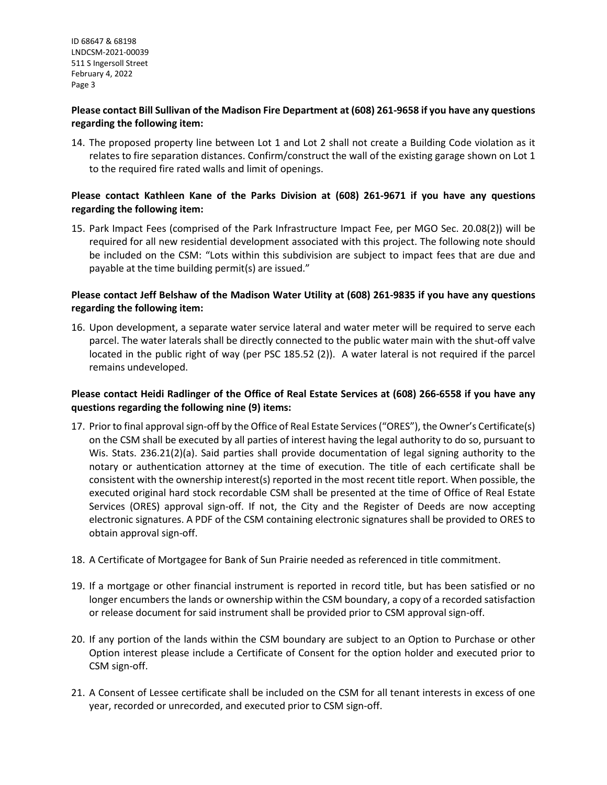#### **Please contact Bill Sullivan of the Madison Fire Department at (608) 261-9658 if you have any questions regarding the following item:**

14. The proposed property line between Lot 1 and Lot 2 shall not create a Building Code violation as it relates to fire separation distances. Confirm/construct the wall of the existing garage shown on Lot 1 to the required fire rated walls and limit of openings.

### **Please contact Kathleen Kane of the Parks Division at (608) 261-9671 if you have any questions regarding the following item:**

15. Park Impact Fees (comprised of the Park Infrastructure Impact Fee, per MGO Sec. 20.08(2)) will be required for all new residential development associated with this project. The following note should be included on the CSM: "Lots within this subdivision are subject to impact fees that are due and payable at the time building permit(s) are issued."

#### **Please contact Jeff Belshaw of the Madison Water Utility at (608) 261-9835 if you have any questions regarding the following item:**

16. Upon development, a separate water service lateral and water meter will be required to serve each parcel. The water laterals shall be directly connected to the public water main with the shut-off valve located in the public right of way (per PSC 185.52 (2)). A water lateral is not required if the parcel remains undeveloped.

### **Please contact Heidi Radlinger of the Office of Real Estate Services at (608) 266-6558 if you have any questions regarding the following nine (9) items:**

- 17. Prior to final approval sign-off by the Office of Real Estate Services ("ORES"), the Owner's Certificate(s) on the CSM shall be executed by all parties of interest having the legal authority to do so, pursuant to Wis. Stats. 236.21(2)(a). Said parties shall provide documentation of legal signing authority to the notary or authentication attorney at the time of execution. The title of each certificate shall be consistent with the ownership interest(s) reported in the most recent title report. When possible, the executed original hard stock recordable CSM shall be presented at the time of Office of Real Estate Services (ORES) approval sign-off. If not, the City and the Register of Deeds are now accepting electronic signatures. A PDF of the CSM containing electronic signatures shall be provided to ORES to obtain approval sign-off.
- 18. A Certificate of Mortgagee for Bank of Sun Prairie needed as referenced in title commitment.
- 19. If a mortgage or other financial instrument is reported in record title, but has been satisfied or no longer encumbers the lands or ownership within the CSM boundary, a copy of a recorded satisfaction or release document for said instrument shall be provided prior to CSM approval sign-off.
- 20. If any portion of the lands within the CSM boundary are subject to an Option to Purchase or other Option interest please include a Certificate of Consent for the option holder and executed prior to CSM sign-off.
- 21. A Consent of Lessee certificate shall be included on the CSM for all tenant interests in excess of one year, recorded or unrecorded, and executed prior to CSM sign-off.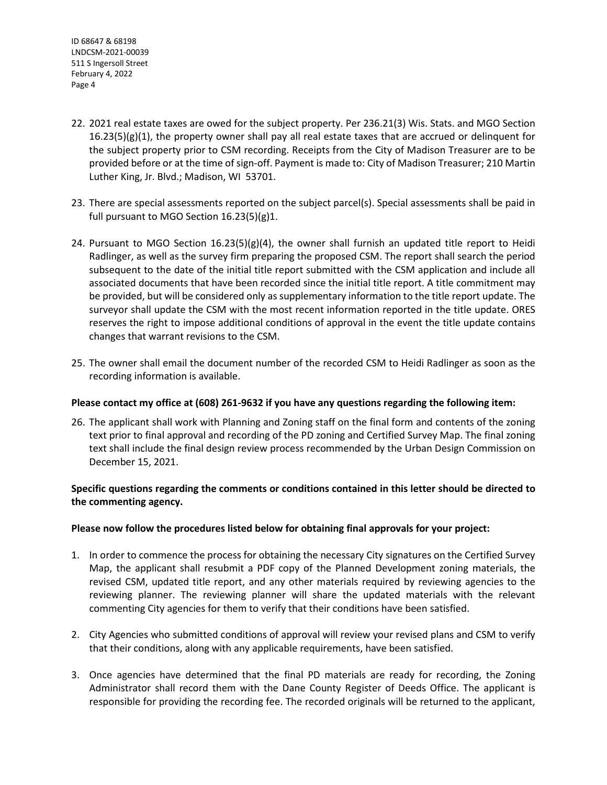- 22. 2021 real estate taxes are owed for the subject property. Per 236.21(3) Wis. Stats. and MGO Section  $16.23(5)(g)(1)$ , the property owner shall pay all real estate taxes that are accrued or delinquent for the subject property prior to CSM recording. Receipts from the City of Madison Treasurer are to be provided before or at the time of sign-off. Payment is made to: City of Madison Treasurer; 210 Martin Luther King, Jr. Blvd.; Madison, WI 53701.
- 23. There are special assessments reported on the subject parcel(s). Special assessments shall be paid in full pursuant to MGO Section 16.23(5)(g)1.
- 24. Pursuant to MGO Section  $16.23(5)(g)(4)$ , the owner shall furnish an updated title report to Heidi Radlinger, as well as the survey firm preparing the proposed CSM. The report shall search the period subsequent to the date of the initial title report submitted with the CSM application and include all associated documents that have been recorded since the initial title report. A title commitment may be provided, but will be considered only as supplementary information to the title report update. The surveyor shall update the CSM with the most recent information reported in the title update. ORES reserves the right to impose additional conditions of approval in the event the title update contains changes that warrant revisions to the CSM.
- 25. The owner shall email the document number of the recorded CSM to Heidi Radlinger as soon as the recording information is available.

#### **Please contact my office at (608) 261-9632 if you have any questions regarding the following item:**

26. The applicant shall work with Planning and Zoning staff on the final form and contents of the zoning text prior to final approval and recording of the PD zoning and Certified Survey Map. The final zoning text shall include the final design review process recommended by the Urban Design Commission on December 15, 2021.

### **Specific questions regarding the comments or conditions contained in this letter should be directed to the commenting agency.**

#### **Please now follow the procedures listed below for obtaining final approvals for your project:**

- 1. In order to commence the process for obtaining the necessary City signatures on the Certified Survey Map, the applicant shall resubmit a PDF copy of the Planned Development zoning materials, the revised CSM, updated title report, and any other materials required by reviewing agencies to the reviewing planner. The reviewing planner will share the updated materials with the relevant commenting City agencies for them to verify that their conditions have been satisfied.
- 2. City Agencies who submitted conditions of approval will review your revised plans and CSM to verify that their conditions, along with any applicable requirements, have been satisfied.
- 3. Once agencies have determined that the final PD materials are ready for recording, the Zoning Administrator shall record them with the Dane County Register of Deeds Office. The applicant is responsible for providing the recording fee. The recorded originals will be returned to the applicant,